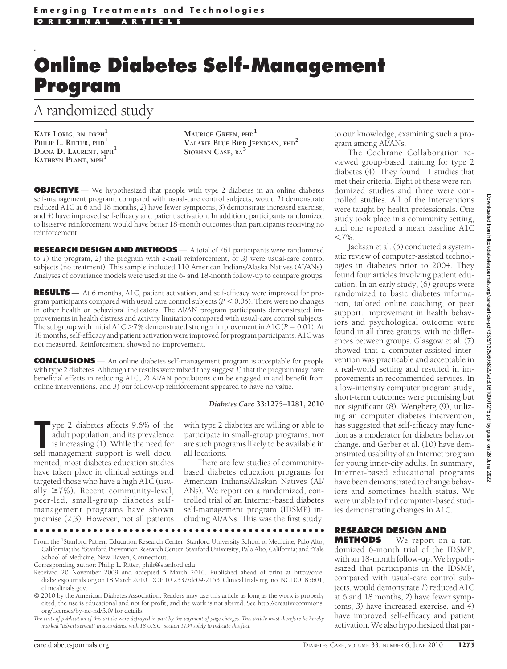# $\zeta$ **Online Diabetes Self-Management Program**

A randomized study

**KATE LORIG, RN, DRPH<sup>1</sup> PHILIP L. RITTER, PHD<sup>1</sup> DIANA D. LAURENT, MPH<sup>1</sup> KATHRYN PLANT, MPH<sup>1</sup>**

**MAURICE GREEN, PHD<sup>1</sup> VALARIE BLUE BIRD JERNIGAN, PHD<sup>2</sup> SIOBHAN CASE, BA<sup>3</sup>**

**OBJECTIVE** — We hypothesized that people with type 2 diabetes in an online diabetes self-management program, compared with usual-care control subjects, would *1*) demonstrate reduced A1C at 6 and 18 months, *2*) have fewer symptoms, *3*) demonstrate increased exercise, and *4*) have improved self-efficacy and patient activation. In addition, participants randomized to listserve reinforcement would have better 18-month outcomes than participants receiving no reinforcement.

**RESEARCH DESIGN AND METHODS** — A total of 761 participants were randomized to *1*) the program, *2*) the program with e-mail reinforcement, or *3*) were usual-care control subjects (no treatment). This sample included 110 American Indians/Alaska Natives (AI/ANs). Analyses of covariance models were used at the 6- and 18-month follow-up to compare groups.

**RESULTS** — At 6 months, A1C, patient activation, and self-efficacy were improved for program participants compared with usual care control subjects ( $P \le 0.05$ ). There were no changes in other health or behavioral indicators. The AI/AN program participants demonstrated improvements in health distress and activity limitation compared with usual-care control subjects. The subgroup with initial  $A1C > 7\%$  demonstrated stronger improvement in  $A1C$  ( $P = 0.01$ ). At 18 months, self-efficacy and patient activation were improved for program participants. A1C was not measured. Reinforcement showed no improvement.

**CONCLUSIONS** — An online diabetes self-management program is acceptable for people with type 2 diabetes. Although the results were mixed they suggest *1*) that the program may have beneficial effects in reducing A1C, *2*) AI/AN populations can be engaged in and benefit from online interventions, and *3*) our follow-up reinforcement appeared to have no value.

#### *Diabetes Care* **33:1275–1281, 2010**

The space of the adult population, and its prevalence is increasing (1). While the need for self-management support is well docuype 2 diabetes affects 9.6% of the adult population, and its prevalence is increasing (1). While the need for mented, most diabetes education studies have taken place in clinical settings and targeted those who have a high A1C (usually  $\geq 7\%$ ). Recent community-level, peer-led, small-group diabetes selfmanagement programs have shown promise (2,3). However, not all patients

with type 2 diabetes are willing or able to participate in small-group programs, nor are such programs likely to be available in all locations.

There are few studies of communitybased diabetes education programs for American Indians/Alaskan Natives (AI/ ANs). We report on a randomized, controlled trial of an Internet-based diabetes self-management program (IDSMP) including AI/ANs. This was the first study,

●●●●●●●●●●●●●●●●●●●●●●●●●●●●●●●●●●●●●●●●●●●●●●●●●

From the <sup>1</sup>Stanford Patient Education Research Center, Stanford University School of Medicine, Palo Alto, California; the <sup>2</sup>Stanford Prevention Research Center, Stanford University, Palo Alto, California; and <sup>3</sup>Yale School of Medicine, New Haven, Connecticut.

Corresponding author: Philip L. Ritter, philr@stanford.edu.

- Received 20 November 2009 and accepted 5 March 2010. Published ahead of print at http://care. diabetesjournals.org on 18 March 2010. DOI: 10.2337/dc09-2153. Clinical trials reg. no. NCT00185601, clinicaltrials.gov.
- © 2010 by the American Diabetes Association. Readers may use this article as long as the work is properly cited, the use is educational and not for profit, and the work is not altered. See http://creativecommons. org/licenses/by-nc-nd/3.0/ for details.

*The costs of publication of this article were defrayed in part by the payment of page charges. This article must therefore be hereby marked "advertisement" in accordance with 18 U.S.C. Section 1734 solely to indicate this fact.*

to our knowledge, examining such a program among AI/ANs.

The Cochrane Collaboration reviewed group-based training for type 2 diabetes (4). They found 11 studies that met their criteria. Eight of these were randomized studies and three were controlled studies. All of the interventions were taught by health professionals. One study took place in a community setting, and one reported a mean baseline A1C  $< 7\%$ .

Jacksan et al. (5) conducted a systematic review of computer-assisted technologies in diabetes prior to 2004. They found four articles involving patient education. In an early study, (6) groups were randomized to basic diabetes information, tailored online coaching, or peer support. Improvement in health behaviors and psychological outcome were found in all three groups, with no differences between groups. Glasgow et al. (7) showed that a computer-assisted intervention was practicable and acceptable in a real-world setting and resulted in improvements in recommended services. In a low-intensity computer program study, short-term outcomes were promising but not significant (8). Wengberg (9), utilizing an computer diabetes intervention, has suggested that self-efficacy may function as a moderator for diabetes behavior change, and Gerber et al. (10) have demonstrated usability of an Internet program for young inner-city adults. In summary, Internet-based educational programs have been demonstrated to change behaviors and sometimes health status. We were unable to find computer-based studies demonstrating changes in A1C.

# **RESEARCH DESIGN AND**

**METHODS** — We report on a randomized 6-month trial of the IDSMP, with an 18-month follow-up. We hypothesized that participants in the IDSMP, compared with usual-care control subjects, would demonstrate *1*) reduced A1C at 6 and 18 months, *2*) have fewer symptoms, *3*) have increased exercise, and *4*) have improved self-efficacy and patient activation. We also hypothesized that par-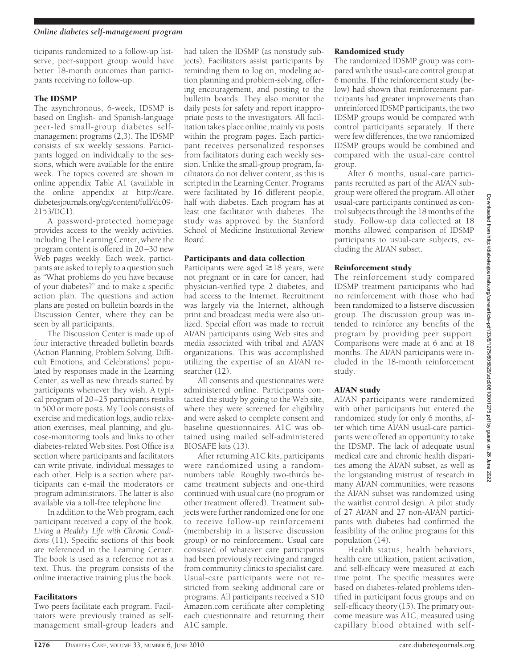#### *Online diabetes self-management program*

ticipants randomized to a follow-up listserve, peer-support group would have better 18-month outcomes than participants receiving no follow-up.

### The IDSMP

The asynchronous, 6-week, IDSMP is based on English- and Spanish-language peer-led small-group diabetes selfmanagement programs (2,3). The IDSMP consists of six weekly sessions. Participants logged on individually to the sessions, which were available for the entire week. The topics covered are shown in online appendix Table A1 (available in the online appendix at http://care. diabetesjournals.org/cgi/content/full/dc09- 2153/DC1).

A password-protected homepage provides access to the weekly activities, including The Learning Center, where the program content is offered in 20–30 new Web pages weekly. Each week, participants are asked to reply to a question such as "What problems do you have because of your diabetes?" and to make a specific action plan. The questions and action plans are posted on bulletin boards in the Discussion Center, where they can be seen by all participants.

The Discussion Center is made up of four interactive threaded bulletin boards (Action Planning, Problem Solving, Difficult Emotions, and Celebrations) populated by responses made in the Learning Center, as well as new threads started by participants whenever they wish. A typical program of 20–25 participants results in 500 or more posts. My Tools consists of exercise and medication logs, audio relaxation exercises, meal planning, and glucose-monitoring tools and links to other diabetes-related Web sites. Post Office is a section where participants and facilitators can write private, individual messages to each other. Help is a section where participants can e-mail the moderators or program administrators. The latter is also available via a toll-free telephone line.

In addition to the Web program, each participant received a copy of the book, *Living a Healthy Life with Chronic Conditions* (11). Specific sections of this book are referenced in the Learning Center. The book is used as a reference not as a text. Thus, the program consists of the online interactive training plus the book.

#### Facilitators

Two peers facilitate each program. Facilitators were previously trained as selfmanagement small-group leaders and

had taken the IDSMP (as nonstudy subjects). Facilitators assist participants by reminding them to log on, modeling action planning and problem-solving, offering encouragement, and posting to the bulletin boards. They also monitor the daily posts for safety and report inappropriate posts to the investigators. All facilitation takes place online, mainly via posts within the program pages. Each participant receives personalized responses from facilitators during each weekly session. Unlike the small-group program, facilitators do not deliver content, as this is scripted in the Learning Center. Programs were facilitated by 16 different people, half with diabetes. Each program has at least one facilitator with diabetes. The study was approved by the Stanford School of Medicine Institutional Review Board.

#### Participants and data collection

Participants were aged  $\geq 18$  years, were not pregnant or in care for cancer, had physician-verified type 2 diabetes, and had access to the Internet. Recruitment was largely via the Internet, although print and broadcast media were also utilized. Special effort was made to recruit AI/AN participants using Web sites and media associated with tribal and AI/AN organizations. This was accomplished utilizing the expertise of an AI/AN researcher (12).

All consents and questionnaires were administered online. Participants contacted the study by going to the Web site, where they were screened for eligibility and were asked to complete consent and baseline questionnaires. A1C was obtained using mailed self-administered BIOSAFE kits (13).

After returning A1C kits, participants were randomized using a randomnumbers table. Roughly two-thirds became treatment subjects and one-third continued with usual care (no program or other treatment offered). Treatment subjects were further randomized one for one to receive follow-up reinforcement (membership in a listserve discussion group) or no reinforcement. Usual care consisted of whatever care participants had been previously receiving and ranged from community clinics to specialist care. Usual-care participants were not restricted from seeking additional care or programs. All participants received a \$10 Amazon.com certificate after completing each questionnaire and returning their A1C sample.

# Randomized study

The randomized IDSMP group was compared with the usual-care control group at 6 months. If the reinforcement study (below) had shown that reinforcement participants had greater improvements than unreinforced IDSMP participants, the two IDSMP groups would be compared with control participants separately. If there were few differences, the two randomized IDSMP groups would be combined and compared with the usual-care control group.

After 6 months, usual-care participants recruited as part of the AI/AN subgroup were offered the program. All other usual-care participants continued as control subjects through the 18 months of the study. Follow-up data collected at 18 months allowed comparison of IDSMP participants to usual-care subjects, excluding the AI/AN subset.

# Reinforcement study

The reinforcement study compared IDSMP treatment participants who had no reinforcement with those who had been randomized to a listserve discussion group. The discussion group was intended to reinforce any benefits of the program by providing peer support. Comparisons were made at 6 and at 18 months. The AI/AN participants were included in the 18-month reinforcement study.

# AI/AN study

AI/AN participants were randomized with other participants but entered the randomized study for only 6 months, after which time AI/AN usual-care participants were offered an opportunity to take the IDSMP. The lack of adequate usual medical care and chronic health disparities among the AI/AN subset, as well as the longstanding mistrust of research in many AI/AN communities, were reasons the AI/AN subset was randomized using the waitlist control design. A pilot study of 27 AI/AN and 27 non-AI/AN participants with diabetes had confirmed the feasibility of the online programs for this population (14).

Health status, health behaviors, health care utilization, patient activation, and self-efficacy were measured at each time point. The specific measures were based on diabetes-related problems identified in participant focus groups and on self-efficacy theory (15). The primary outcome measure was A1C, measured using capillary blood obtained with self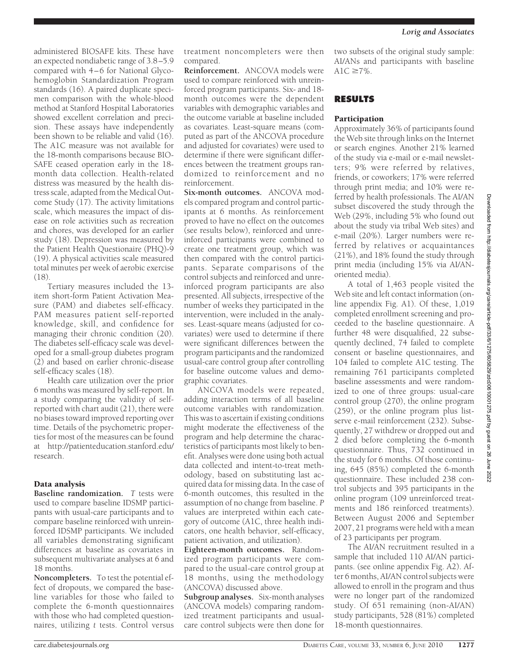administered BIOSAFE kits. These have an expected nondiabetic range of 3.8–5.9 compared with 4–6 for National Glycohemoglobin Standardization Program standards (16). A paired duplicate specimen comparison with the whole-blood method at Stanford Hospital Laboratories showed excellent correlation and precision. These assays have independently been shown to be reliable and valid (16). The A1C measure was not available for the 18-month comparisons because BIO-SAFE ceased operation early in the 18 month data collection. Health-related distress was measured by the health distress scale, adapted from the Medical Outcome Study (17). The activity limitations scale, which measures the impact of disease on role activities such as recreation and chores, was developed for an earlier study (18). Depression was measured by the Patient Health Questionaire (PHQ)-9 (19). A physical activities scale measured total minutes per week of aerobic exercise (18).

Tertiary measures included the 13 item short-form Patient Activation Measure (PAM) and diabetes self-efficacy. PAM measures patient self-reported knowledge, skill, and confidence for managing their chronic condition (20). The diabetes self-efficacy scale was developed for a small-group diabetes program (2) and based on earlier chronic-disease self-efficacy scales (18).

Health care utilization over the prior 6 months was measured by self-report. In a study comparing the validity of selfreported with chart audit (21), there were no biases toward improved reporting over time. Details of the psychometric properties for most of the measures can be found at http://patienteducation.stanford.edu/ research.

# Data analysis

**Baseline randomization.** *T* tests were used to compare baseline IDSMP participants with usual-care participants and to compare baseline reinforced with unreinforced IDSMP participants. We included all variables demonstrating significant differences at baseline as covariates in subsequent multivariate analyses at 6 and 18 months.

**Noncompleters.** To test the potential effect of dropouts, we compared the baseline variables for those who failed to complete the 6-month questionnaires with those who had completed questionnaires, utilizing *t* tests. Control versus treatment noncompleters were then compared.

**Reinforcement.** ANCOVA models were used to compare reinforced with unreinforced program participants. Six- and 18 month outcomes were the dependent variables with demographic variables and the outcome variable at baseline included as covariates. Least-square means (computed as part of the ANCOVA procedure and adjusted for covariates) were used to determine if there were significant differences between the treatment groups randomized to reinforcement and no reinforcement.

**Six-month outcomes.** ANCOVA models compared program and control participants at 6 months. As reinforcement proved to have no effect on the outcomes (see results below), reinforced and unreinforced participants were combined to create one treatment group, which was then compared with the control participants. Separate comparisons of the control subjects and reinforced and unreinforced program participants are also presented. All subjects, irrespective of the number of weeks they participated in the intervention, were included in the analyses. Least-square means (adjusted for covariates) were used to determine if there were significant differences between the program participants and the randomized usual-care control group after controlling for baseline outcome values and demographic covariates.

ANCOVA models were repeated, adding interaction terms of all baseline outcome variables with randomization. This was to ascertain if existing conditions might moderate the effectiveness of the program and help determine the characteristics of participants most likely to benefit. Analyses were done using both actual data collected and intent-to-treat methodology, based on substituting last acquired data for missing data. In the case of 6-month outcomes, this resulted in the assumption of no change from baseline. *P* values are interpreted within each category of outcome (A1C, three health indicators, one health behavior, self-efficacy, patient activation, and utilization).

**Eighteen-month outcomes.** Randomized program participants were compared to the usual-care control group at 18 months, using the methodology (ANCOVA) discussed above.

**Subgroup analyses.** Six-month analyses (ANCOVA models) comparing randomized treatment participants and usualcare control subjects were then done for two subsets of the original study sample: AI/ANs and participants with baseline A1C  $\geq$ 7%.

# **RESULTS**

# Participation

Approximately 36% of participants found the Web site through links on the Internet or search engines. Another 21% learned of the study via e-mail or e-mail newsletters; 9% were referred by relatives, friends, or coworkers; 17% were referred through print media; and 10% were referred by health professionals. The AI/AN subset discovered the study through the Web (29%, including 5% who found out about the study via tribal Web sites) and e-mail (20%). Larger numbers were referred by relatives or acquaintances (21%), and 18% found the study through print media (including 15% via AI/ANoriented media).

A total of 1,463 people visited the Web site and left contact information (online appendix Fig. A1). Of these, 1,019 completed enrollment screening and proceeded to the baseline questionnaire. A further 48 were disqualified, 22 subsequently declined, 74 failed to complete consent or baseline questionnaires, and 104 failed to complete A1C testing. The remaining 761 participants completed baseline assessments and were randomized to one of three groups: usual-care control group (270), the online program (259), or the online program plus listserve e-mail reinforcement (232). Subsequently, 27 withdrew or dropped out and 2 died before completing the 6-month questionnaire. Thus, 732 continued in the study for 6 months. Of those continuing, 645 (85%) completed the 6-month questionnaire. These included 238 control subjects and 395 participants in the online program (109 unreinforced treatments and 186 reinforced treatments). Between August 2006 and September 2007, 21 programs were held with a mean of 23 participants per program.

The AI/AN recruitment resulted in a sample that included 110 AI/AN participants. (see online appendix Fig. A2). After 6 months, AI/AN control subjects were allowed to enroll in the program and thus were no longer part of the randomized study. Of 651 remaining (non-AI/AN) study participants, 528 (81%) completed 18-month questionnaires.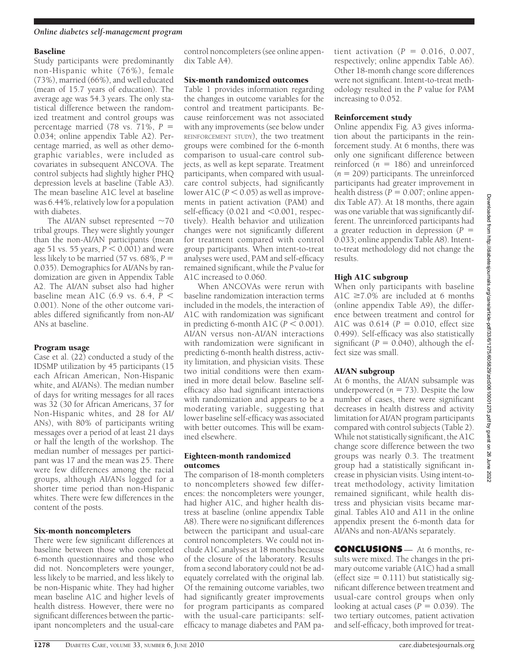#### *Online diabetes self-management program*

#### Baseline

Study participants were predominantly non-Hispanic white  $(76%)$ , female (73%), married (66%), and well educated (mean of 15.7 years of education). The average age was 54.3 years. The only statistical difference between the randomized treatment and control groups was percentage married (78 vs. 71%, *P* 0.034; online appendix Table A2). Percentage married, as well as other demographic variables, were included as covariates in subsequent ANCOVA. The control subjects had slightly higher PHQ depression levels at baseline (Table A3). The mean baseline A1C level at baseline was 6.44%, relatively low for a population with diabetes.

The AI/AN subset represented  $\sim$ 70 tribal groups. They were slightly younger than the non-AI/AN participants (mean age 51 vs. 55 years,  $P < 0.001$ ) and were less likely to be married (57 vs. 68%, *P* 0.035). Demographics for AI/ANs by randomization are given in Appendix Table A2. The AI/AN subset also had higher baseline mean A1C (6.9 vs. 6.4, *P* 0.001). None of the other outcome variables differed significantly from non-AI/ ANs at baseline.

#### Program usage

Case et al. (22) conducted a study of the IDSMP utilization by 45 participants (15 each African American, Non-Hispanic white, and AI/ANs). The median number of days for writing messages for all races was 32 (30 for African Americans, 37 for Non-Hispanic whites, and 28 for AI/ ANs), with 80% of participants writing messages over a period of at least 21 days or half the length of the workshop. The median number of messages per participant was 17 and the mean was 25. There were few differences among the racial groups, although AI/ANs logged for a shorter time period than non-Hispanic whites. There were few differences in the content of the posts.

#### Six-month noncompleters

There were few significant differences at baseline between those who completed 6-month questionnaires and those who did not. Noncompleters were younger, less likely to be married, and less likely to be non-Hispanic white. They had higher mean baseline A1C and higher levels of health distress. However, there were no significant differences between the participant noncompleters and the usual-care

control noncompleters (see online appendix Table A4).

# Six-month randomized outcomes

Table 1 provides information regarding the changes in outcome variables for the control and treatment participants. Because reinforcement was not associated with any improvements (see below under REINFORCEMENT STUDY), the two treatment groups were combined for the 6-month comparison to usual-care control subjects, as well as kept separate. Treatment participants, when compared with usualcare control subjects, had significantly lower A1C ( $P < 0.05$ ) as well as improvements in patient activation (PAM) and self-efficacy  $(0.021$  and  $\leq 0.001$ , respectively). Health behavior and utilization changes were not significantly different for treatment compared with control group participants. When intent-to-treat analyses were used, PAM and self-efficacy remained significant, while the *P* value for A1C increased to 0.060.

When ANCOVAs were rerun with baseline randomization interaction terms included in the models, the interaction of A1C with randomization was significant in predicting 6-month A1C ( $P < 0.001$ ). AI/AN versus non-AI/AN interactions with randomization were significant in predicting 6-month health distress, activity limitation, and physician visits. These two initial conditions were then examined in more detail below. Baseline selfefficacy also had significant interactions with randomization and appears to be a moderating variable, suggesting that lower baseline self-efficacy was associated with better outcomes. This will be examined elsewhere.

#### Eighteen-month randomized outcomes

The comparison of 18-month completers to noncompleters showed few differences: the noncompleters were younger, had higher A1C, and higher health distress at baseline (online appendix Table A8). There were no significant differences between the participant and usual-care control noncompleters. We could not include A1C analyses at 18 months because of the closure of the laboratory. Results from a second laboratory could not be adequately correlated with the original lab. Of the remaining outcome variables, two had significantly greater improvements for program participants as compared with the usual-care participants: selfefficacy to manage diabetes and PAM patient activation ( $P = 0.016, 0.007$ , respectively; online appendix Table A6). Other 18-month change score differences were not significant. Intent-to-treat methodology resulted in the *P* value for PAM increasing to 0.052.

### Reinforcement study

Online appendix Fig. A3 gives information about the participants in the reinforcement study. At 6 months, there was only one significant difference between reinforced  $(n = 186)$  and unreinforced  $(n = 209)$  participants. The unreinforced participants had greater improvement in health distress ( $P = 0.007$ ; online appendix Table A7). At 18 months, there again was one variable that was significantly different. The unreinforced participants had a greater reduction in depression (*P* 0.033; online appendix Table A8). Intentto-treat methodology did not change the results.

# High A1C subgroup

When only participants with baseline A1C  $\geq$ 7.0% are included at 6 months (online appendix Table A9), the difference between treatment and control for A1C was  $0.614$  ( $P = 0.010$ , effect size 0.499). Self-efficacy was also statistically significant ( $P = 0.040$ ), although the effect size was small.

# AI/AN subgroup

At 6 months, the AI/AN subsample was underpowered  $(n = 73)$ . Despite the low number of cases, there were significant decreases in health distress and activity limitation for AI/AN program participants compared with control subjects (Table 2). While not statistically significant, the A1C change score difference between the two groups was nearly 0.3. The treatment group had a statistically significant increase in physician visits. Using intent-totreat methodology, activity limitation remained significant, while health distress and physician visits became marginal. Tables A10 and A11 in the online appendix present the 6-month data for AI/ANs and non-AI/ANs separately.

**CONCLUSIONS** — At 6 months, results were mixed. The changes in the primary outcome variable (A1C) had a small (effect size  $= 0.111$ ) but statistically significant difference between treatment and usual-care control groups when only looking at actual cases ( $P = 0.039$ ). The two tertiary outcomes, patient activation and self-efficacy, both improved for treat-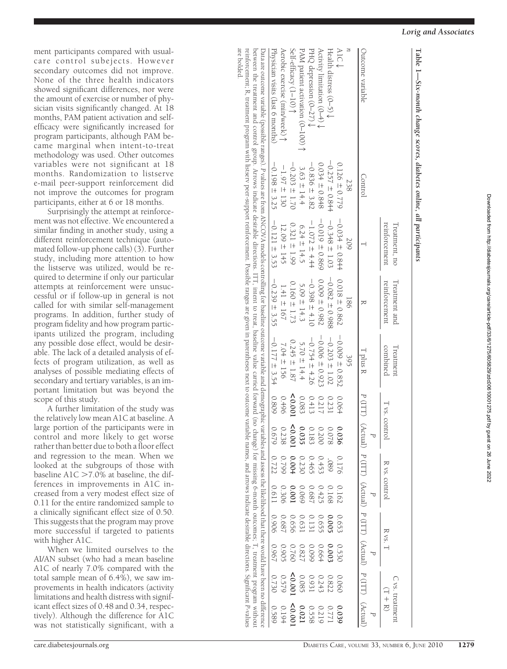| ׇ֚֕֡                                                                    |  |
|-------------------------------------------------------------------------|--|
|                                                                         |  |
| $\ddot{\phantom{a}}$                                                    |  |
|                                                                         |  |
| i                                                                       |  |
| I                                                                       |  |
|                                                                         |  |
|                                                                         |  |
|                                                                         |  |
|                                                                         |  |
|                                                                         |  |
| į                                                                       |  |
|                                                                         |  |
|                                                                         |  |
| Ì                                                                       |  |
|                                                                         |  |
| ۱                                                                       |  |
|                                                                         |  |
| ׇ֖֚֚֚֚֞֕֝֬<br>i                                                         |  |
|                                                                         |  |
|                                                                         |  |
| $\begin{array}{c} \n\cdot \\ \cdot \\ \cdot \\ \cdot\n\end{array}$<br>ĺ |  |
|                                                                         |  |
|                                                                         |  |
|                                                                         |  |
| j<br>l                                                                  |  |
| ı                                                                       |  |
| l                                                                       |  |
| ֠                                                                       |  |
|                                                                         |  |
| ļ                                                                       |  |
|                                                                         |  |
|                                                                         |  |
| l                                                                       |  |
|                                                                         |  |
| ĺ                                                                       |  |
| i<br>Ó                                                                  |  |
| i                                                                       |  |
| í                                                                       |  |
|                                                                         |  |
| l                                                                       |  |
| י<br>$\overline{\phantom{a}}$<br>i                                      |  |
|                                                                         |  |
| í                                                                       |  |
| l                                                                       |  |
| i<br>i                                                                  |  |
| I<br>I<br>ı                                                             |  |
|                                                                         |  |
| I                                                                       |  |
| i<br>֖֖֚֚֚֚֚֡֬֝                                                         |  |
|                                                                         |  |
| l                                                                       |  |
|                                                                         |  |
| i<br>i                                                                  |  |
| i                                                                       |  |
| ֦                                                                       |  |
| ١<br>Į                                                                  |  |
| i                                                                       |  |
| í                                                                       |  |
|                                                                         |  |
| l                                                                       |  |
|                                                                         |  |
| ۷                                                                       |  |
| j                                                                       |  |
| j<br>i                                                                  |  |
| ł                                                                       |  |
| <br> <br>                                                               |  |
|                                                                         |  |
| j                                                                       |  |
| l                                                                       |  |
|                                                                         |  |
|                                                                         |  |
|                                                                         |  |
|                                                                         |  |
|                                                                         |  |
|                                                                         |  |
| $\frac{1}{1}$<br>i<br>Î                                                 |  |
|                                                                         |  |

 $\Box$ 

| ment participants compared with usual-     |
|--------------------------------------------|
| care control subejects. However            |
| secondary outcomes did not improve.        |
| None of the three health indicators        |
| showed significant differences, nor were   |
| the amount of exercise or number of phy-   |
| sician visits significantly changed. At 18 |
| months, PAM patient activation and self-   |
| efficacy were significantly increased for  |
| program participants, although PAM be-     |
| came marginal when intent-to-treat         |
| methodology was used. Other outcomes       |
| variables were not significant at 18       |
| months. Randomization to listserve         |
| e-mail peer-support reinforcement did      |
| not improve the outcomes for program       |
| participants, either at 6 or 18 months.    |
| Commutato also the extense that vainfaxes  |

Surprisingly the attempt at reinforcement was not effective. We encountered a similar finding in another study, using a different reinforcement technique (automated follow-up phone calls) (3). Further study, including more attention to how the listserve was utilized, would be required to determine if only our particular attempts at reinforcement were unsuccessful or if follow-up in general is not called for with similar self-management programs. In addition, further study of program fidelity and how program participants utilized the program, including any possible dose effect, would be desirable. The lack of a detailed analysis of effects of program utilization, as well as analyses of possible mediating effects of secondary and tertiary variables, is an important limitation but was beyond the scope of this study.

A further limitation of the study was the relatively low mean A1C at baseline. A large portion of the participants were in control and more likely to get worse rather than better due to both a floor effect and regression to the mean. When we looked at the subgroups of those with baseline  $A1C > 7.0\%$  at baseline, the differences in improvements in A1C increased from a very modest effect size of 0.11 for the entire randomized sample to a clinically significant effect size of 0.50. This suggests that the program may prove more successful if targeted to patients with higher A1C.

When we limited ourselves to the AI/AN subset (who had a mean baseline A1C of nearly 7.0% compared with the total sample mean of 6.4%), we saw improvements in health indicators (activity limitations and health distress with significant effect sizes of 0.48 and 0.34, respectively). Although the difference for A1C was not statistically significant, with a

| Table 1—Six-month change scores, diabetes online, all participants                                                                                                                                           |
|--------------------------------------------------------------------------------------------------------------------------------------------------------------------------------------------------------------|
| reinforcement<br>I reatment, no<br>Treatment and<br>reinforcement<br>combined<br>Treatment<br>T vs. control<br>R vs. control<br>$R$ vs. $T$<br>C vs. treatment<br>$\Xi$ + $\Xi$                              |
| Outcome variable<br>Control<br>≂<br>I plus R<br>P (ITT) (Actual) P (ITT) (Actual) P (ITT) (Actual) P (ITT) P<br>Ρ<br>᠊ᢦ<br>᠊ᢦ<br>(Actual)<br>᠊ᢦ                                                              |
| $\mathbf{z}$<br>238<br>509<br>98 I<br>395                                                                                                                                                                    |
| AIC J<br>$0.126 \pm 0.779$<br>$-0.034 \pm 0.844$<br>$0.018 \pm 0.862$<br>$-0.009 \pm 0.852$<br>0.064<br>036<br>0.176<br>0.162<br>0.653<br>0.530<br>0.060<br>0.039                                            |
| Health distress (0–5) ↓<br>$-0.257 \pm 0.844$<br>$-0.348 \pm 1.03$<br>$-0.082 \pm 0.988$<br>$-0.203 \pm 1.02$<br>0.231<br>8/0<br>680'<br>0.168<br>0.005<br>0.003<br>0.822<br>0.771                           |
| Activity limitation $(0-4)$<br>$0.034 \pm 0.848$<br>$-0.019 \pm 0.869$<br>$0.009 \pm 0.982$<br>$-0.006 \pm 0.923$<br>0.217<br>002<br>0.453<br>0.425<br>0.655<br>0.664<br>0.243<br>0.219                      |
| PHQ depression (0-27)<br>$-0.836 \pm 3.82$<br>$-1.072 \pm 4.44$<br>$-0.398 \pm 4.10$<br>$-0.754 \pm 4.26$<br>0.413<br>0.183<br>0.687<br>0.131<br>660.0<br>0.931<br>0.558                                     |
| PAM patient activation (0–100) ↑<br>$3.63 \pm 14.4$<br>$6.24 \pm 14.5$<br>$5.09 \pm 14.3$<br>$5.70 \pm 14.4$<br>0.083<br>0.035<br>0.631<br>0.827<br>0.085<br>0.021                                           |
| Self-efficacy $(1-10)$ $\uparrow$<br>$-0.203 \pm 1.70$<br>$0.321 \pm 1.99$<br>$0.160 \pm 1.73$<br>$0.245 \pm 1.87$<br>0.00<br>0.001<br>0.465<br>0.230<br>0.004<br>0.069<br>0.656<br>0.760<br>100.001<br>0.00 |
| Aerobic exercise (min/week) î<br>$-1.97 \pm 130$<br>$12.09 \pm 145$<br>$1.41 \pm 167$<br>$7.04 \pm 156$<br>0.496<br>238<br>0.799<br>0.306<br>0.687<br>0.905<br>0.579<br>0.194                                |
| Physician visits (last 6 months)<br>$-0.198 \pm 3.25$<br>$-0.121 \pm 3.53$<br>$-0.239 \pm 3.55$<br>$-0.177 \pm 3.54$<br>0.809<br>$\circ$<br>6/9<br>0.722<br>0.611<br>9060<br>0.967<br>0.730<br>0.589         |

#### *Lorig and Associates*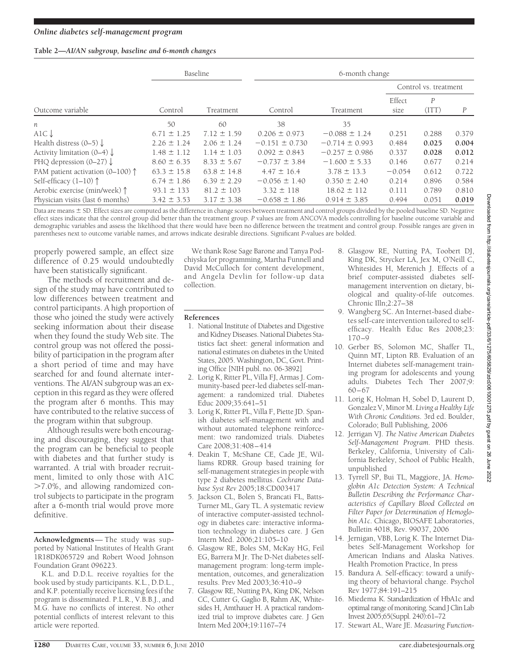| Table 2-AI/AN subgroup, baseline and 6-month changes |  |  |
|------------------------------------------------------|--|--|
|                                                      |  |  |

|                                             | Baseline        |                 | 6-month change     |                    |                       |            |       |
|---------------------------------------------|-----------------|-----------------|--------------------|--------------------|-----------------------|------------|-------|
| Outcome variable                            |                 |                 |                    |                    | Control vs. treatment |            |       |
|                                             | Control         | Treatment       | Control            | Treatment          | Effect<br>size        | P<br>(ITT) | P     |
| $\boldsymbol{n}$                            | 50              | 60              | 38                 | 35                 |                       |            |       |
| Alc $\downarrow$                            | $6.71 \pm 1.25$ | $7.12 \pm 1.59$ | $0.206 \pm 0.973$  | $-0.088 \pm 1.24$  | 0.251                 | 0.288      | 0.379 |
| Health distress $(0-5) \downarrow$          | $2.26 \pm 1.24$ | $2.06 \pm 1.24$ | $-0.151 \pm 0.730$ | $-0.714 \pm 0.993$ | 0.484                 | 0.025      | 0.004 |
| Activity limitation $(0-4) \downarrow$      | $1.48 \pm 1.12$ | $1.14 \pm 1.03$ | $0.092 \pm 0.843$  | $-0.257 \pm 0.986$ | 0.337                 | 0.028      | 0.012 |
| PHO depression $(0-27)$                     | $8.60 \pm 6.35$ | $8.33 \pm 5.67$ | $-0.737 \pm 3.84$  | $-1.600 \pm 5.33$  | 0.146                 | 0.677      | 0.214 |
| PAM patient activation $(0-100)$ $\uparrow$ | $63.3 \pm 15.8$ | $63.8 \pm 14.8$ | $4.47 \pm 16.4$    | $3.78 \pm 13.3$    | $-0.054$              | 0.612      | 0.722 |
| Self-efficacy $(1-10)$ $\uparrow$           | $6.74 \pm 1.86$ | $6.39 \pm 2.29$ | $-0.056 \pm 1.40$  | $0.350 \pm 2.40$   | 0.214                 | 0.896      | 0.584 |
| Aerobic exercise (min/week) $\uparrow$      | $93.1 \pm 133$  | $81.2 \pm 103$  | $3.32 \pm 118$     | $18.62 \pm 112$    | 0.111                 | 0.789      | 0.810 |
| Physician visits (last 6 months)            | $3.42 \pm 3.53$ | $3.17 \pm 3.38$ | $-0.658 \pm 1.86$  | $0.914 \pm 3.85$   | 0.494                 | 0.051      | 0.019 |

Data are means ± SD. Effect sizes are computed as the difference in change scores between treatment and control groups divided by the pooled baseline SD. Negative effect sizes indicate that the control group did better than the treatment group. *P* values are from ANCOVA models controlling for baseline outcome variable and demographic variables and assess the likelihood that there would have been no difference between the treatment and control group. Possible ranges are given in parentheses next to outcome variable names, and arrows indicate desirable directions. Significant *P*-values are bolded.

properly powered sample, an effect size difference of 0.25 would undoubtedly have been statistically significant.

The methods of recruitment and design of the study may have contributed to low differences between treatment and control participants. A high proportion of those who joined the study were actively seeking information about their disease when they found the study Web site. The control group was not offered the possibility of participation in the program after a short period of time and may have searched for and found alternate interventions. The AI/AN subgroup was an exception in this regard as they were offered the program after 6 months. This may have contributed to the relative success of the program within that subgroup.

Although results were both encouraging and discouraging, they suggest that the program can be beneficial to people with diabetes and that further study is warranted. A trial with broader recruitment, limited to only those with A1C -7.0%, and allowing randomized control subjects to participate in the program after a 6-month trial would prove more definitive.

**Acknowledgments**— The study was supported by National Institutes of Health Grant 1R18DK065729 and Robert Wood Johnson Foundation Grant 096223.

K.L. and D.D.L. receive royalties for the book used by study participants. K.L., D.D.L., and K.P. potentially receive licensing fees if the program is disseminated. P.L.R., V.B.B.J., and M.G. have no conflicts of interest. No other potential conflicts of interest relevant to this article were reported.

We thank Rose Sage Barone and Tanya Podchiyska for programming, Martha Funnell and David McCulloch for content development, and Angela Devlin for follow-up data collection.

#### **References**

- 1. National Institute of Diabetes and Digestive and Kidney Diseases. National Diabetes Statistics fact sheet: general information and national estimates on diabetes in the United States, 2005. Washington, DC, Govt. Printing Office [NIH publ. no. 06-3892]
- 2. Lorig K, Ritter PL, Villa FJ, Armas J. Community-based peer-led diabetes self-management: a randomized trial. Diabetes Educ 2009;35:641–51
- 3. Lorig K, Ritter PL, Villa F, Piette JD. Spanish diabetes self-management with and without automated telephone reinforcement: two randomized trials. Diabetes Care 2008;31:408–414
- 4. Deakin T, McShane CE, Cade JE, Williams RDRR. Group based training for self-management strategies in people with type 2 diabetes mellitus. *Cochrane Database Syst Rev* 2005;18:CD003417
- 5. Jackson CL, Bolen S, Brancati FL, Batts-Turner ML, Gary TL. A systematic review of interactive computer-assisted technology in diabetes care: interactive information technology in diabetes care. J Gen Intern Med. 2006;21:105–10
- 6. Glasgow RE, Boles SM, McKay HG, Feil EG, Barrera M Jr. The D-Net diabetes selfmanagement program: long-term implementation, outcomes, and generalization results. Prev Med 2003;36:410–9
- 7. Glasgow RE, Nutting PA, King DK, Nelson CC, Cutter G, Gaglio B, Rahm AK, Whitesides H, Amthauer H. A practical randomized trial to improve diabetes care. J Gen Intern Med 2004;19:1167–74
- 8. Glasgow RE, Nutting PA, Toobert DJ, King DK, Strycker LA, Jex M, O'Neill C, Whitesides H, Merenich J. Effects of a brief computer-assisted diabetes selfmanagement intervention on dietary, biological and quality-of-life outcomes. Chronic Illn;2:27–38
- 9. Wangberg SC. An Internet-based diabetes self-care intervention tailored to selfefficacy. Health Educ Res 2008;23: 170–9
- 10. Gerber BS, Solomon MC, Shaffer TL, Quinn MT, Lipton RB. Evaluation of an Internet diabetes self-management training program for adolescents and young adults. Diabetes Tech Ther 2007;9: 60–67
- 11. Lorig K, Holman H, Sobel D, Laurent D, Gonzalez V, Minor M. *Living a Healthy Life With Chronic Conditions*. 3rd ed. Boulder, Colorado; Bull Publishing, 2006
- 12. Jerrigan VJ. *The Native American Diabetes Self-Management Program*. PHD thesis. Berkeley, California, University of California Berkeley, School of Public Health, unpublished
- 13. Tyrrell SP, Bui TL, Maggiore, JA. *Hemoglobin A1c Detection System: A Technical Bulletin Describing the Performance Characteristics of Capillary Blood Collected on Filter Paper for Determination of Hemoglobin A1c*. Chicago, BIOSAFE Laboratories, Bulletin 4018, Rev. 99037, 2006
- 14. Jernigan, VBB, Lorig K. The Internet Diabetes Self-Management Workshop for American Indians and Alaska Natives. Health Promotion Practice, In press
- 15. Bandura A. Self-efficacy: toward a unifying theory of behavioral change. Psychol Rev 1977;84:191–215
- 16. Miedema K. Standardization of HbA1c and optimal range of monitoring. Scand J Clin Lab Invest 2005;65(Suppl. 240):61–72
- 17. Stewart AL, Ware JE. *Measuring Function-*